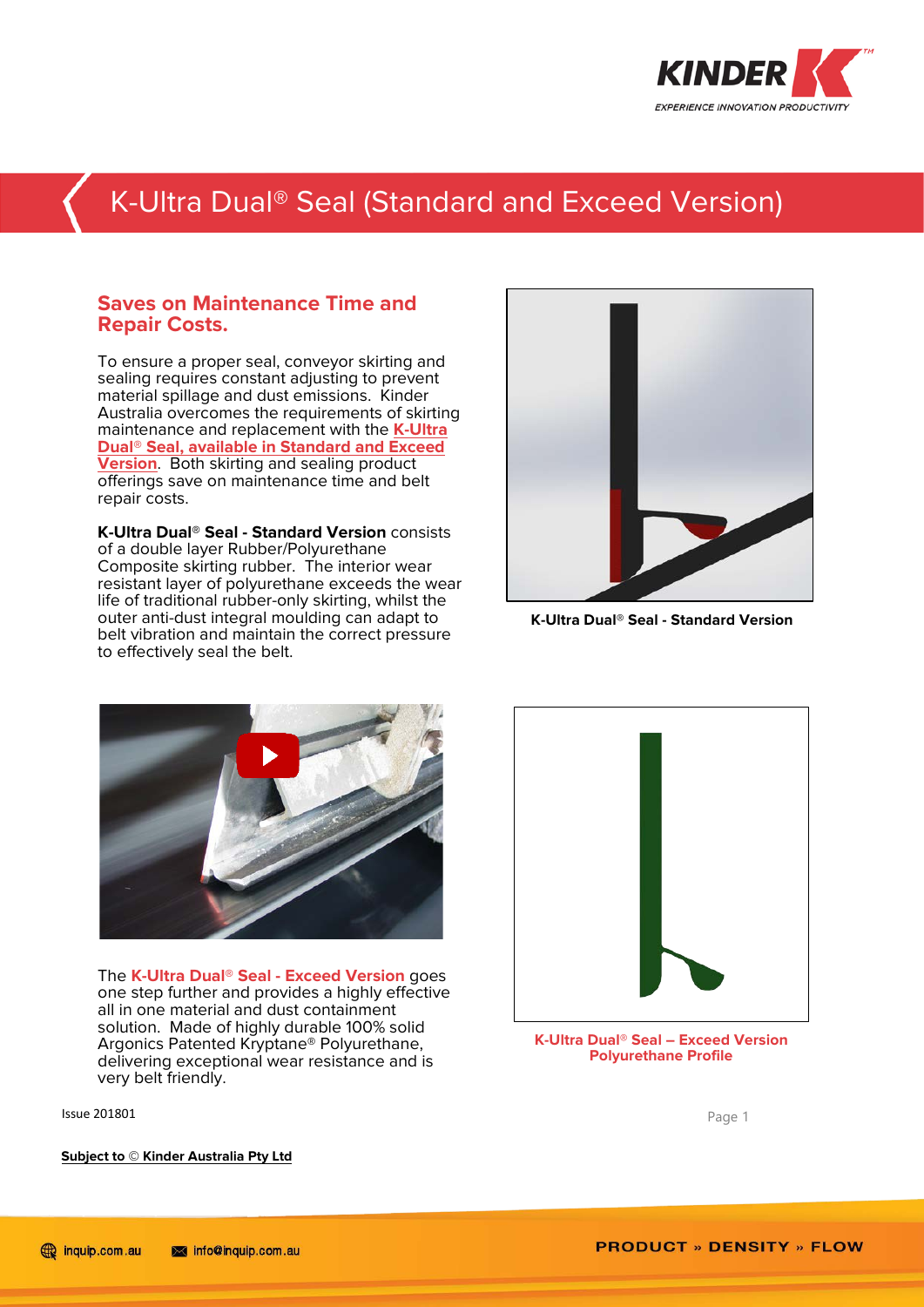

### K-Ultra Dual® Seal (Standard and Exceed Version)

### **Saves on Maintenance Time and Repair Costs.**

To ensure a proper seal, conveyor skirting and sealing requires constant adjusting to prevent material spillage and dust emissions. Kinder Australia overcomes the requirements of skirting maintenance and replacement with the **[K-Ultra](http://www.kinder.com.au/product/k-ultra-dual-seal/)  Dual® [Seal, available in Standard and Exceed](http://www.kinder.com.au/product/k-ultra-dual-seal/)  [Version](http://www.kinder.com.au/product/k-ultra-dual-seal/)**. Both skirting and sealing product offerings save on maintenance time and belt repair costs.

**K-Ultra Dual® Seal - Standard Version** consists of a double layer Rubber/Polyurethane Composite skirting rubber. The interior wear resistant layer of polyurethane exceeds the wear life of traditional rubber-only skirting, whilst the outer anti-dust integral moulding can adapt to belt vibration and maintain the correct pressure to effectively seal the belt.



**K-Ultra Dual® Seal - Standard Version**



The **K-Ultra Dual® Seal - Exceed Version** goes one step further and provides a highly effective all in one material and dust containment solution. Made of highly durable 100% solid Argonics Patented Kryptane® Polyurethane, delivering exceptional wear resistance and is very belt friendly.

**Issue 201801** Page 1

**K-Ultra Dual® Seal – Exceed Version Polyurethane Profile**

**Subject to © Kinder Australia Pty Ltd**

**PRODUCT » DENSITY » FLOW**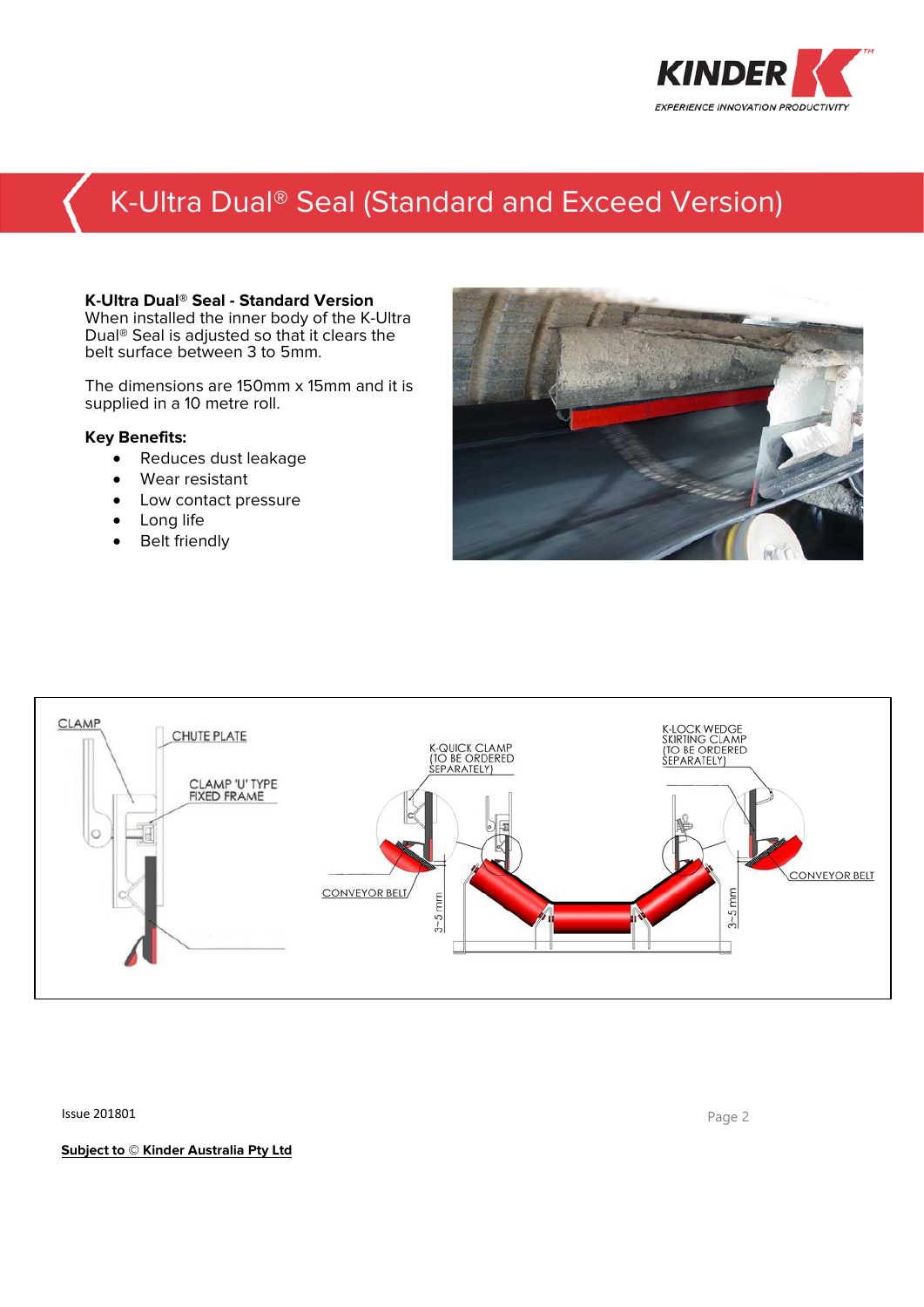

# K-Ultra Dual® Seal (Standard and Exceed Version)

#### **K-Ultra Dual® Seal - Standard Version**

When installed the inner body of the K-Ultra Dual® Seal is adjusted so that it clears the belt surface between 3 to 5mm.

The dimensions are 150mm x 15mm and it is supplied in a 10 metre roll.

#### **Key Benefits:**

- Reduces dust leakage
- Wear resistant
- Low contact pressure
- Long life
- Belt friendly





**Issue 201801** Page 2

**Subject to © Kinder Australia Pty Ltd**